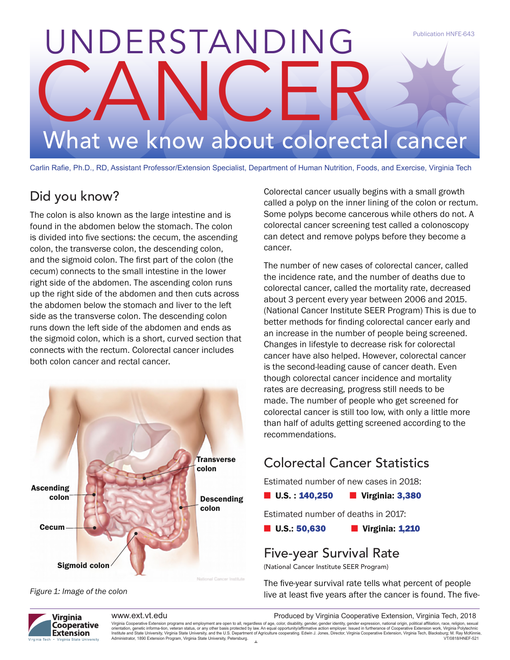# UNDERSTANDING CANCER What we know about colorectal cancer Publication HNFE-643

Carlin Rafie, Ph.D., RD, Assistant Professor/Extension Specialist, Department of Human Nutrition, Foods, and Exercise, Virginia Tech

# Did you know?

The colon is also known as the large intestine and is found in the abdomen below the stomach. The colon is divided into five sections: the cecum, the ascending colon, the transverse colon, the descending colon, and the sigmoid colon. The first part of the colon (the cecum) connects to the small intestine in the lower right side of the abdomen. The ascending colon runs up the right side of the abdomen and then cuts across the abdomen below the stomach and liver to the left side as the transverse colon. The descending colon runs down the left side of the abdomen and ends as the sigmoid colon, which is a short, curved section that connects with the rectum. Colorectal cancer includes both colon cancer and rectal cancer.



Figure 1: Image of the colon

Colorectal cancer usually begins with a small growth called a polyp on the inner lining of the colon or rectum. Some polyps become cancerous while others do not. A colorectal cancer screening test called a colonoscopy can detect and remove polyps before they become a cancer.

The number of new cases of colorectal cancer, called the incidence rate, and the number of deaths due to colorectal cancer, called the mortality rate, decreased about 3 percent every year between 2006 and 2015. (National Cancer Institute SEER Program) This is due to better methods for finding colorectal cancer early and an increase in the number of people being screened. Changes in lifestyle to decrease risk for colorectal cancer have also helped. However, colorectal cancer is the second-leading cause of cancer death. Even though colorectal cancer incidence and mortality rates are decreasing, progress still needs to be made. The number of people who get screened for colorectal cancer is still too low, with only a little more than half of adults getting screened according to the recommendations.

# Colorectal Cancer Statistics

Estimated number of new cases in 2018:

 $\blacksquare$  U.S. : 140,250  $\blacksquare$  Virginia: 3,380

Estimated number of deaths in 2017:

**n** U.S.: 50,630 **n** Virginia: 1,210

# Five-year Survival Rate

(National Cancer Institute SEER Program)

The five-year survival rate tells what percent of people live at least five years after the cancer is found. The five-



www.ext.vt.edu extension extension. Produced by Virginia Cooperative Extension, Virginia Tech, 2018

Virginia Cooperative Extension programs and employment are open to all, regardless of age, color, disability, gender, gender identity, gender expression, national origin, political affiliation, race, religion, sexual<br>orien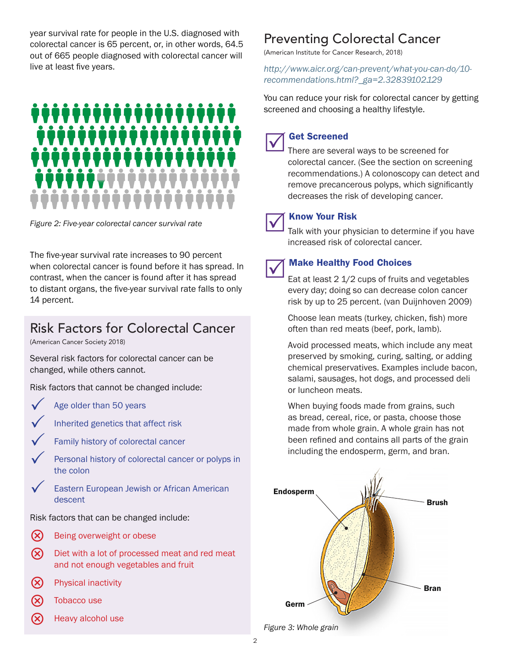year survival rate for people in the U.S. diagnosed with colorectal cancer is 65 percent, or, in other words, 64.5 out of 665 people diagnosed with colorectal cancer will live at least five years.



Figure 2: Five-year colorectal cancer survival rate

The five-year survival rate increases to 90 percent when colorectal cancer is found before it has spread. In contrast, when the cancer is found after it has spread to distant organs, the five-year survival rate falls to only 14 percent.

# Risk Factors for Colorectal Cancer

(American Cancer Society 2018)

Several risk factors for colorectal cancer can be changed, while others cannot.

Risk factors that cannot be changed include:

- 
- Age older than 50 years
- Inherited genetics that affect risk
	- Family history of colorectal cancer
	- Personal history of colorectal cancer or polyps in the colon
- Eastern European Jewish or African American descent

Risk factors that can be changed include:

- **(x)** Being overweight or obese
- (X) Diet with a lot of processed meat and red meat and not enough vegetables and fruit
- $\infty$  Physical inactivity
- Tobacco use
- Heavy alcohol use

# Preventing Colorectal Cancer

(American Institute for Cancer Research, 2018)

http://www.aicr.org/can-prevent/what-you-can-do/10 recommendations.html?\_ga=2.32839102.129

You can reduce your risk for colorectal cancer by getting screened and choosing a healthy lifestyle.

Get Screened<br>There are several ways to be screened for colorectal cancer. (See the section on screening recommendations.) A colonoscopy can detect and remove precancerous polyps, which significantly decreases the risk of developing cancer.



**Talk with your Risk**<br>Talk with your physician to determine if you have increased risk of colorectal cancer.



#### **Make Healthy Food Choices**

Eat at least 2 1/2 cups of fruits and vegetables every day; doing so can decrease colon cancer risk by up to 25 percent. (van Duijnhoven 2009)

Choose lean meats (turkey, chicken, fish) more often than red meats (beef, pork, lamb).

Avoid processed meats, which include any meat preserved by smoking, curing, salting, or adding chemical preservatives. Examples include bacon, salami, sausages, hot dogs, and processed deli or luncheon meats.

When buying foods made from grains, such as bread, cereal, rice, or pasta, choose those made from whole grain. A whole grain has not been refined and contains all parts of the grain including the endosperm, germ, and bran.



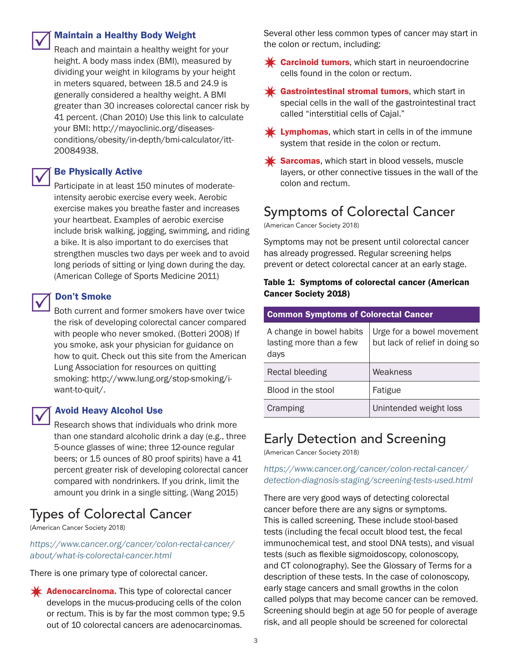

#### **Maintain a Healthy Body Weight**

Reach and maintain a healthy weight for your height. A body mass index (BMI), measured by dividing your weight in kilograms by your height in meters squared, between 18.5 and 24.9 is generally considered a healthy weight. A BMI greater than 30 increases colorectal cancer risk by 41 percent. (Chan 2010) Use this link to calculate your BMI: http://mayoclinic.org/diseasesconditions/obesity/in-depth/bmi-calculator/itt-20084938.

#### **Be Physically Active**

Participate in at least 150 minutes of moderateintensity aerobic exercise every week. Aerobic exercise makes you breathe faster and increases your heartbeat. Examples of aerobic exercise include brisk walking, jogging, swimming, and riding a bike. It is also important to do exercises that strengthen muscles two days per week and to avoid long periods of sitting or lying down during the day. (American College of Sports Medicine 2011)

**V** Don't Smoke<br>Both current and former smokers have over twice the risk of developing colorectal cancer compared with people who never smoked. (Botteri 2008) If you smoke, ask your physician for guidance on how to quit. Check out this site from the American Lung Association for resources on quitting smoking: http://www.lung.org/stop-smoking/iwant-to-quit/.

#### **Avoid Heavy Alcohol Use**

Research shows that individuals who drink more than one standard alcoholic drink a day (e.g., three 5-ounce glasses of wine; three 12-ounce regular beers; or 15 ounces of 80 proof spirits) have a 41 percent greater risk of developing colorectal cancer compared with nondrinkers. If you drink, limit the amount you drink in a single sitting. (Wang 2015)

# Types of Colorectal Cancer

(American Cancer Society 2018)

https://www.cancer.org/cancer/colon-rectal-cancer/ about/what-is-colorectal-cancer.html

There is one primary type of colorectal cancer.

 $\mathbf{\times}$  Adenocarcinoma. This type of colorectal cancer develops in the mucus-producing cells of the colon or rectum. This is by far the most common type; 9.5 out of 10 colorectal cancers are adenocarcinomas.

Several other less common types of cancer may start in the colon or rectum, including:

- $\mathbf{\mathbf{\times}}$  Carcinoid tumors, which start in neuroendocrine cells found in the colon or rectum.
- $\mathbf{\mathbf{\times}}$  Gastrointestinal stromal tumors, which start in special cells in the wall of the gastrointestinal tract called "interstitial cells of Cajal."
- $\mathbf{\times}$  Lymphomas, which start in cells in of the immune system that reside in the colon or rectum.
- $\mathbf{\mathbf{\times}}$  Sarcomas, which start in blood vessels, muscle layers, or other connective tissues in the wall of the colon and rectum.

## Symptoms of Colorectal Cancer

(American Cancer Society 2018)

Symptoms may not be present until colorectal cancer has already progressed. Regular screening helps prevent or detect colorectal cancer at an early stage.

#### Table 1: Symptoms of colorectal cancer (American Cancer Society 2018)

| <b>Common Symptoms of Colorectal Cancer</b>                 |                                                             |
|-------------------------------------------------------------|-------------------------------------------------------------|
| A change in bowel habits<br>lasting more than a few<br>days | Urge for a bowel movement<br>but lack of relief in doing so |
| Rectal bleeding                                             | Weakness                                                    |
| Blood in the stool                                          | Fatigue                                                     |
| Cramping                                                    | Unintended weight loss                                      |

### Early Detection and Screening

(American Cancer Society 2018)

https://www.cancer.org/cancer/colon-rectal-cancer/ detection-diagnosis-staging/screening-tests-used.html

There are very good ways of detecting colorectal cancer before there are any signs or symptoms. This is called screening. These include stool-based tests (including the fecal occult blood test, the fecal immunochemical test, and stool DNA tests), and visual tests (such as flexible sigmoidoscopy, colonoscopy, and CT colonography). See the Glossary of Terms for a description of these tests. In the case of colonoscopy, early stage cancers and small growths in the colon called polyps that may become cancer can be removed. Screening should begin at age 50 for people of average risk, and all people should be screened for colorectal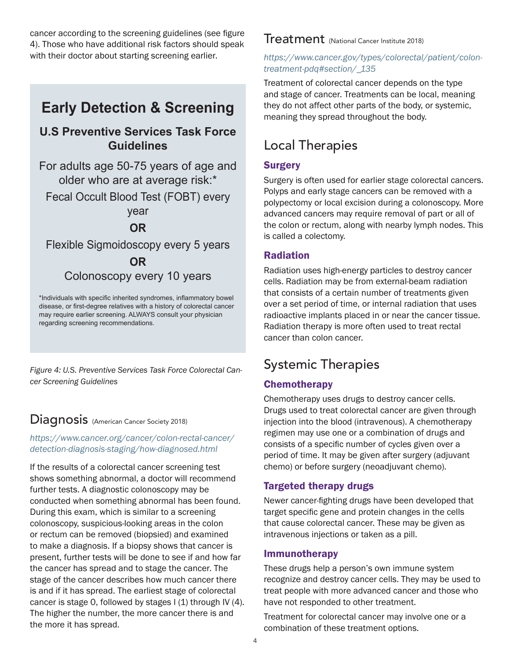cancer according to the screening guidelines (see figure 4). Those who have additional risk factors should speak with their doctor about starting screening earlier.

# **Early Detection & Screening**

### **U.S Preventive Services Task Force Guidelines**

For adults age 50-75 years of age and older who are at average risk:\*

Fecal Occult Blood Test (FOBT) every

year

#### **OR**

Flexible Sigmoidoscopy every 5 years **OR**

### Colonoscopy every 10 years

\*Individuals with specific inherited syndromes, inflammatory bowel disease, or first-degree relatives with a history of colorectal cancer may require earlier screening. ALWAYS consult your physician regarding screening recommendations.

Figure 4: U.S. Preventive Services Task Force Colorectal Cancer Screening Guidelines

# Diagnosis (American Cancer Society 2018)

#### https://www.cancer.org/cancer/colon-rectal-cancer/ detection-diagnosis-staging/how-diagnosed.html

If the results of a colorectal cancer screening test shows something abnormal, a doctor will recommend further tests. A diagnostic colonoscopy may be conducted when something abnormal has been found. During this exam, which is similar to a screening colonoscopy, suspicious-looking areas in the colon or rectum can be removed (biopsied) and examined to make a diagnosis. If a biopsy shows that cancer is present, further tests will be done to see if and how far the cancer has spread and to stage the cancer. The stage of the cancer describes how much cancer there is and if it has spread. The earliest stage of colorectal cancer is stage 0, followed by stages  $I(1)$  through IV (4). The higher the number, the more cancer there is and the more it has spread.

#### Treatment (National Cancer Institute 2018)

#### https://www.cancer.gov/types/colorectal/patient/colontreatment-pdq#section/\_135

Treatment of colorectal cancer depends on the type and stage of cancer. Treatments can be local, meaning they do not affect other parts of the body, or systemic, meaning they spread throughout the body.

# Local Therapies

#### **Surgery**

Surgery is often used for earlier stage colorectal cancers. Polyps and early stage cancers can be removed with a polypectomy or local excision during a colonoscopy. More advanced cancers may require removal of part or all of the colon or rectum, along with nearby lymph nodes. This is called a colectomy.

#### Radiation

Radiation uses high-energy particles to destroy cancer cells. Radiation may be from external-beam radiation that consists of a certain number of treatments given over a set period of time, or internal radiation that uses radioactive implants placed in or near the cancer tissue. Radiation therapy is more often used to treat rectal cancer than colon cancer.

# Systemic Therapies

#### **Chemotherapy**

Chemotherapy uses drugs to destroy cancer cells. Drugs used to treat colorectal cancer are given through injection into the blood (intravenous). A chemotherapy regimen may use one or a combination of drugs and consists of a specific number of cycles given over a period of time. It may be given after surgery (adjuvant chemo) or before surgery (neoadjuvant chemo).

#### Targeted therapy drugs

Newer cancer-fighting drugs have been developed that target specific gene and protein changes in the cells that cause colorectal cancer. These may be given as intravenous injections or taken as a pill.

#### Immunotherapy

These drugs help a person's own immune system recognize and destroy cancer cells. They may be used to treat people with more advanced cancer and those who have not responded to other treatment.

Treatment for colorectal cancer may involve one or a combination of these treatment options.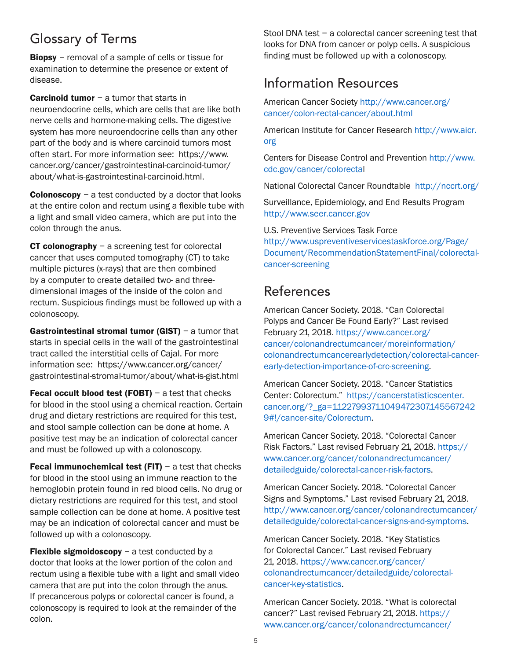# Glossary of Terms

**Biopsy** – removal of a sample of cells or tissue for examination to determine the presence or extent of disease.

Carcinoid tumor – a tumor that starts in neuroendocrine cells, which are cells that are like both nerve cells and hormone-making cells. The digestive system has more neuroendocrine cells than any other part of the body and is where carcinoid tumors most often start. For more information see: https://www. cancer.org/cancer/gastrointestinal-carcinoid-tumor/ about/what-is-gastrointestinal-carcinoid.html.

**Colonoscopy** – a test conducted by a doctor that looks at the entire colon and rectum using a flexible tube with a light and small video camera, which are put into the colon through the anus.

**CT colonography**  $-$  a screening test for colorectal cancer that uses computed tomography (CT) to take multiple pictures (x-rays) that are then combined by a computer to create detailed two- and threedimensional images of the inside of the colon and rectum. Suspicious findings must be followed up with a colonoscopy.

**Gastrointestinal stromal tumor (GIST)** – a tumor that starts in special cells in the wall of the gastrointestinal tract called the interstitial cells of Cajal. For more information see: https://www.cancer.org/cancer/ gastrointestinal-stromal-tumor/about/what-is-gist.html

**Fecal occult blood test (FOBT)** – a test that checks for blood in the stool using a chemical reaction. Certain drug and dietary restrictions are required for this test, and stool sample collection can be done at home. A positive test may be an indication of colorectal cancer and must be followed up with a colonoscopy.

Fecal immunochemical test (FIT)  $-$  a test that checks for blood in the stool using an immune reaction to the hemoglobin protein found in red blood cells. No drug or dietary restrictions are required for this test, and stool sample collection can be done at home. A positive test may be an indication of colorectal cancer and must be followed up with a colonoscopy.

**Flexible sigmoidoscopy**  $-$  a test conducted by a doctor that looks at the lower portion of the colon and rectum using a flexible tube with a light and small video camera that are put into the colon through the anus. If precancerous polyps or colorectal cancer is found, a colonoscopy is required to look at the remainder of the colon.

Stool DNA test – a colorectal cancer screening test that looks for DNA from cancer or polyp cells. A suspicious finding must be followed up with a colonoscopy.

# Information Resources

American Cancer Society http://www.cancer.org/ cancer/colon-rectal-cancer/about.html

American Institute for Cancer Research http://www.aicr. org

Centers for Disease Control and Prevention http://www. cdc.gov/cancer/colorectal

National Colorectal Cancer Roundtable http://nccrt.org/

Surveillance, Epidemiology, and End Results Program http://www.seer.cancer.gov

U.S. Preventive Services Task Force http://www.uspreventiveservicestaskforce.org/Page/ Document/RecommendationStatementFinal/colorectalcancer-screening

# References

American Cancer Society. 2018. "Can Colorectal Polyps and Cancer Be Found Early?" Last revised February 21, 2018. https://www.cancer.org/ cancer/colonandrectumcancer/moreinformation/ colonandrectumcancerearlydetection/colorectal-cancerearly-detection-importance-of-crc-screening.

American Cancer Society. 2018. "Cancer Statistics Center: Colorectum." https://cancerstatisticscenter. cancer.org/?\_ga=1.122799371.1049472307.145567242 9#!/cancer-site/Colorectum.

American Cancer Society. 2018. "Colorectal Cancer Risk Factors." Last revised February 21, 2018. https:// www.cancer.org/cancer/colonandrectumcancer/ detailedguide/colorectal-cancer-risk-factors.

American Cancer Society. 2018. "Colorectal Cancer Signs and Symptoms." Last revised February 21, 2018. http://www.cancer.org/cancer/colonandrectumcancer/ detailedguide/colorectal-cancer-signs-and-symptoms.

American Cancer Society. 2018. "Key Statistics for Colorectal Cancer." Last revised February 21, 2018. https://www.cancer.org/cancer/ colonandrectumcancer/detailedguide/colorectalcancer-key-statistics.

American Cancer Society. 2018. "What is colorectal cancer?" Last revised February 21, 2018. https:// www.cancer.org/cancer/colonandrectumcancer/